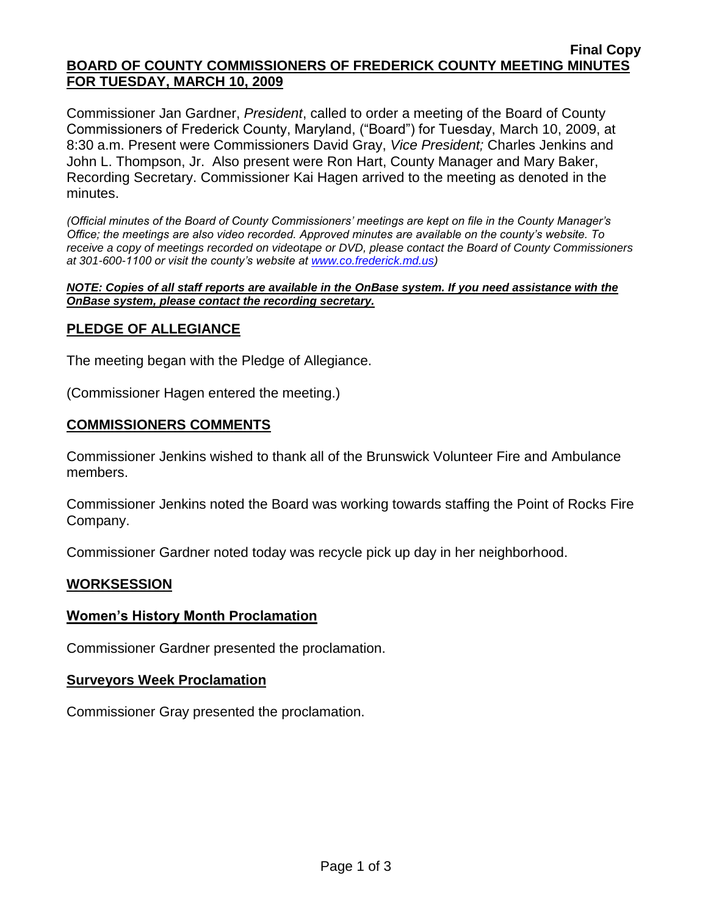#### **Final Copy BOARD OF COUNTY COMMISSIONERS OF FREDERICK COUNTY MEETING MINUTES FOR TUESDAY, MARCH 10, 2009**

Commissioner Jan Gardner, *President*, called to order a meeting of the Board of County Commissioners of Frederick County, Maryland, ("Board") for Tuesday, March 10, 2009, at 8:30 a.m. Present were Commissioners David Gray, *Vice President;* Charles Jenkins and John L. Thompson, Jr. Also present were Ron Hart, County Manager and Mary Baker, Recording Secretary. Commissioner Kai Hagen arrived to the meeting as denoted in the minutes.

*(Official minutes of the Board of County Commissioners' meetings are kept on file in the County Manager's Office; the meetings are also video recorded. Approved minutes are available on the county's website. To receive a copy of meetings recorded on videotape or DVD, please contact the Board of County Commissioners at 301-600-1100 or visit the county's website at [www.co.frederick.md.us\)](http://www.co.frederick.md.us/)*

#### *NOTE: Copies of all staff reports are available in the OnBase system. If you need assistance with the OnBase system, please contact the recording secretary.*

# **PLEDGE OF ALLEGIANCE**

The meeting began with the Pledge of Allegiance.

(Commissioner Hagen entered the meeting.)

### **COMMISSIONERS COMMENTS**

Commissioner Jenkins wished to thank all of the Brunswick Volunteer Fire and Ambulance members.

Commissioner Jenkins noted the Board was working towards staffing the Point of Rocks Fire Company.

Commissioner Gardner noted today was recycle pick up day in her neighborhood.

## **WORKSESSION**

## **Women's History Month Proclamation**

Commissioner Gardner presented the proclamation.

### **Surveyors Week Proclamation**

Commissioner Gray presented the proclamation.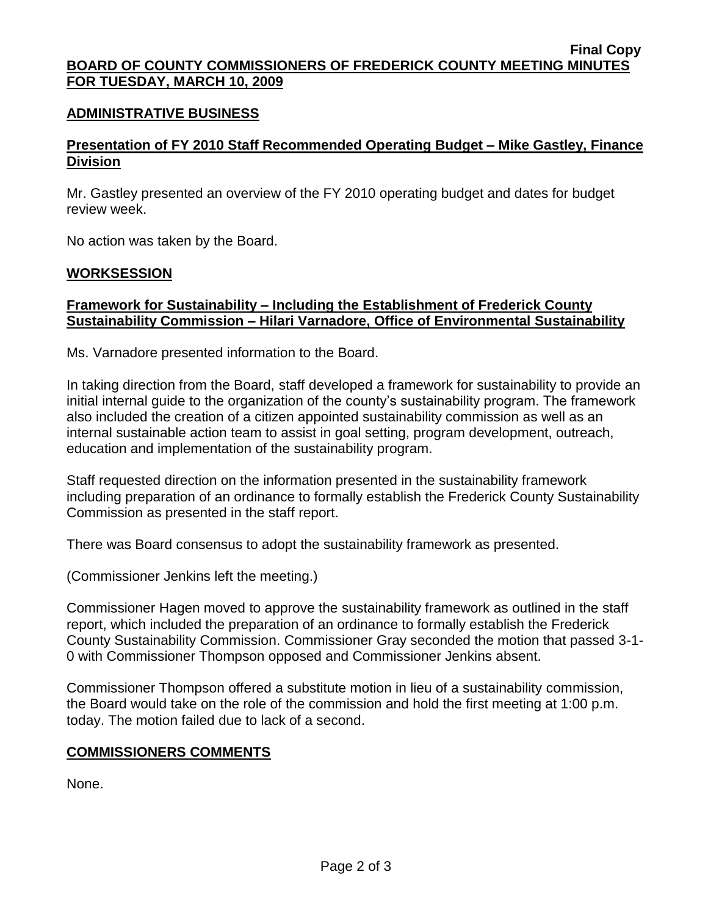#### **Final Copy BOARD OF COUNTY COMMISSIONERS OF FREDERICK COUNTY MEETING MINUTES FOR TUESDAY, MARCH 10, 2009**

### **ADMINISTRATIVE BUSINESS**

# **Presentation of FY 2010 Staff Recommended Operating Budget – Mike Gastley, Finance Division**

Mr. Gastley presented an overview of the FY 2010 operating budget and dates for budget review week.

No action was taken by the Board.

### **WORKSESSION**

## **Framework for Sustainability – Including the Establishment of Frederick County Sustainability Commission – Hilari Varnadore, Office of Environmental Sustainability**

Ms. Varnadore presented information to the Board.

In taking direction from the Board, staff developed a framework for sustainability to provide an initial internal guide to the organization of the county's sustainability program. The framework also included the creation of a citizen appointed sustainability commission as well as an internal sustainable action team to assist in goal setting, program development, outreach, education and implementation of the sustainability program.

Staff requested direction on the information presented in the sustainability framework including preparation of an ordinance to formally establish the Frederick County Sustainability Commission as presented in the staff report.

There was Board consensus to adopt the sustainability framework as presented.

(Commissioner Jenkins left the meeting.)

Commissioner Hagen moved to approve the sustainability framework as outlined in the staff report, which included the preparation of an ordinance to formally establish the Frederick County Sustainability Commission. Commissioner Gray seconded the motion that passed 3-1- 0 with Commissioner Thompson opposed and Commissioner Jenkins absent.

Commissioner Thompson offered a substitute motion in lieu of a sustainability commission, the Board would take on the role of the commission and hold the first meeting at 1:00 p.m. today. The motion failed due to lack of a second.

### **COMMISSIONERS COMMENTS**

None.